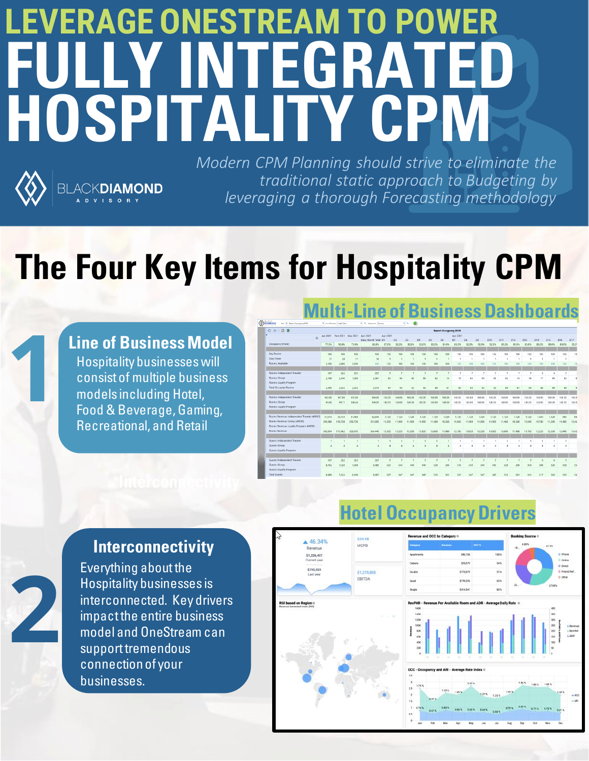# **LEVERAGE ONESTREAM TO POWER FULLY INTEGRATE HOSPITALITY CPM**



*Modern CPM Planning should strive to eliminate the traditional static approach to Budgeting by leveraging a thorough Forecasting methodology*

**Multi-Line of Business Dashboards**

## **The Four Key Items for Hospitality CPM**



**2**

### **Line of Business Model** Hospitality businesses will consist of multiple business models including Hotel, Food & Beverage, Gaming, Recreational, and Retail

**ACKDIAMOND** 

|                                                                                                                       |          |                              |                   |                               |          |                         |             |             |             |                             | энгээ наэг  |             |                |              |              |              |                          |                      |                          |                  | VЫ          |
|-----------------------------------------------------------------------------------------------------------------------|----------|------------------------------|-------------------|-------------------------------|----------|-------------------------|-------------|-------------|-------------|-----------------------------|-------------|-------------|----------------|--------------|--------------|--------------|--------------------------|----------------------|--------------------------|------------------|-------------|
| <b>DIAMOND</b><br>Tark 01 Resort Corapancy DCR                                                                        |          | * Una of Business Hotel Chee |                   | * N. Department Booney        |          |                         | ◉<br>$-5$   |             |             |                             |             |             |                |              |              |              |                          |                      |                          |                  |             |
| $\begin{array}{c c c c c c} \hline \circ & \circ & \circ & \circ \\ \hline \circ & \circ & \circ & \circ \end{array}$ |          |                              |                   |                               |          |                         |             |             |             | <b>Resort Occupancy DOR</b> |             |             |                |              |              |              |                          |                      |                          |                  |             |
| A.                                                                                                                    | Jan 2021 |                              | Feb 2021 Mar 2021 | Apr 2021                      | Apr 2021 |                         |             |             |             |                             | Apr 2021    |             |                |              |              |              |                          |                      |                          |                  |             |
| Occupancy (Hotel)                                                                                                     | 77.3%    | 90.8%                        | 71.0%             | Daily Month Total D1<br>85.8% | 87.0%    | D <sub>2</sub><br>92.0% | D3<br>92.0% | D4<br>92.0% | DS<br>89.0% | DG<br>81.0%                 | DZ<br>83.0% | DA<br>92.0% | DO<br>92.0%    | D10<br>92.0% | D11<br>89.0% | D12<br>81.0% | D <sub>13</sub><br>83.0% | D14<br>86.0%         | D <sub>15</sub><br>89.0% | D16<br>89.0%     | D17<br>95.0 |
|                                                                                                                       |          |                              |                   |                               |          |                         |             |             |             |                             |             |             |                |              |              |              |                          |                      |                          |                  |             |
| Key Rooms                                                                                                             | 100      | 100                          | 100               | 100                           | 100      | 100                     | 100         | 100         | 100         | 100                         | 100         | 100         | 100            | 100          | 100          | 100          | 100                      | 100                  | 100                      | 100              | 10          |
| Days Open                                                                                                             | 31       | 28                           | 31                | 30                            |          |                         |             |             |             |                             |             |             | f.             | <b>A</b>     | f,           |              |                          | <b>A</b>             | 1                        | ٠                |             |
| Rooms: Auxilable                                                                                                      | 3,100    | 2.800                        | 3,100             | $100 -$                       | 100      | 100                     | 100         | 100         | 100         | 100                         | 100         | 100         | 100            | 100          | 100          | 100          | 100                      | 100                  | 100                      | 100              | 10          |
|                                                                                                                       |          |                              |                   |                               |          |                         |             |             |             |                             |             |             |                |              |              |              |                          |                      |                          |                  |             |
| Rooms: Independent Traveler                                                                                           | 197      | 202                          | 203               | 207                           |          |                         |             |             | z           | $\overline{t}$              | 7           |             | 7              | $\tau$       | 7            | z            | z                        | $\mathbf{9}$         | $\overline{9}$           | $\tau$           |             |
| Rooms: Group                                                                                                          | 2,198    | 2.340                        | 1,999             | 2,367                         | 80       | 85                      | 85          | 85          | 82          | 74                          | 76          | 85          | 85             | 85           | 82           | 74           | 76                       | 77                   | 80                       | 82               |             |
| Rooms: Loyalty Program                                                                                                |          |                              |                   |                               |          |                         |             |             |             |                             |             |             |                |              |              |              |                          |                      |                          |                  |             |
| <b>Total Occupied Rooms</b>                                                                                           | 2,395    | 2.542                        | 2,202             | 2.574                         | 87       | 92                      | 92          | 92          | 89          | 81                          | 83          | 92          | 92             | 92           | 89           | 81           | 83                       | 86                   | 89                       | 89               |             |
|                                                                                                                       |          |                              |                   |                               |          |                         |             |             |             |                             |             |             |                |              |              |              |                          |                      |                          |                  |             |
| Rooms: Independent Traveler                                                                                           | 162.00   | 167.00                       | 155.00            | 160.00                        | 160.00   | 160.00                  | 160.00      | 160.00      | 160.00      | 160.00                      | 160.00      | 160.00      | 160.00         | 160.00       | 160.00       | 160.00       | 160.00                   | 160.00               | 160,00                   | 160.00           | 160.0       |
| Rooms: Group<br>Rooms: Loyalty Program                                                                                | 95.00    | 59.71                        | 148.44            | 140.00                        | 140.00   | 140.00                  | 140.00      | 140.00      | 140.00      | 140.00                      | 140.00      | 140.00      | 140.00         | 140.00       | 140.00       | 140.00       | 140.00                   | 140.00               | 140.00                   | 140.00           | 140.0       |
|                                                                                                                       |          |                              |                   |                               |          |                         |             |             |             |                             |             |             |                |              |              |              |                          |                      |                          |                  |             |
| Rooms Revenue: Independent Traveler (40010)                                                                           | 31,914   | 33,734                       | 31,465            | 32,640                        | 1,120    | 1,120                   | 1,120       | 1,120       | 1,120       | 1,120                       | 1,120       | 1,120       | 1,120          | 1,120        | 1,120        | 1,120        | 1,120                    | 1.440                | 1,120                    | 960              | 96          |
| Rooms Revenue: Group (40020)                                                                                          | 210,980  | 139,728                      | 296,730           | 331,800                       | 11,200   | 11,900                  | 11,900      | 11,900      | 11,480      | 10,360                      | 11.060      | 11,900      | 11,900         | 11,900       | 11,480       | 10,360       | 10.640                   | 10.780               | 11,200                   | 11,480           | 12.46       |
| Rooms Revenue: Loyalty Program (40030)                                                                                |          |                              |                   |                               |          |                         |             |             |             |                             |             |             |                |              |              |              |                          |                      |                          |                  |             |
| Rooms Revenue                                                                                                         | 242,894  | 173,462                      | 328, 195          | 364,440                       | 12.320   | 13,020                  | 13,020      | 13,020      | 12,600      | 11,480                      | 12,180      | 13,020      | 13,020         | 13,020       | 12,600       | 11,480       | 11.760                   | 12,220               | 12,320                   | 12,440           | 13.42       |
|                                                                                                                       |          |                              |                   |                               |          |                         |             |             |             |                             |             |             |                |              |              |              |                          |                      |                          |                  |             |
| Guests: Independent Traveler                                                                                          |          |                              |                   |                               |          |                         |             |             |             |                             |             |             |                |              |              |              |                          |                      |                          | ٠                |             |
| Guests: Group                                                                                                         |          |                              |                   |                               |          |                         |             |             |             |                             | A           | A           | 4              | 4            | đ            | A            |                          | $\overline{A}$       |                          | $\boldsymbol{A}$ |             |
| Guests: Lovalty Program                                                                                               |          |                              |                   |                               |          |                         |             |             |             |                             |             |             |                |              |              |              |                          |                      |                          |                  |             |
|                                                                                                                       |          |                              |                   |                               |          |                         |             |             |             |                             |             |             |                |              |              |              |                          |                      |                          |                  |             |
| Guests: Independent Traveler                                                                                          | 197      | 202                          | 203               | 207                           |          |                         |             |             |             |                             |             |             | $\overline{ }$ |              |              |              |                          | $\ddot{\phantom{0}}$ | $\ddot{a}$               | $\overline{z}$   |             |
| Guests: Group                                                                                                         | 8.792    | 7.020                        | 7.995             | 9.480                         | 320      | 340                     | 3.40        | 340         | 328         | 296                         | 316         | 340         | 340            | 34C          | 328          | 296          |                          | 308                  | 3.20                     | 328              |             |
| Guests: Loyalty Program                                                                                               |          |                              |                   |                               |          |                         |             |             |             |                             |             |             |                |              |              |              |                          |                      |                          |                  |             |
| <b>Total Guests</b>                                                                                                   | 8,989    | 7,222                        | 8,199             | 9.687                         | 327      | 347                     | 347         | 347         | 335         | 301                         | 323         | 347         | 347            | 347          | 335          | 301          | 311                      | 317                  | 329                      | 335              |             |
|                                                                                                                       |          |                              |                   |                               |          |                         |             |             |             |                             |             |             |                |              |              |              |                          |                      |                          |                  |             |

**Hotel Occupancy Drivers**

## 534.98  $46.34%$ MCPB \$1,226,407 \$765,024 \$1,229,808 Hospitality businesses will consist the multiple of Awailable Room and ADR - Average Daily Rate<br>Hospitality businesses<br>Hotel Multiple of Multiple Multiple Multiple Multiple Multiple Multiple Multiple Multiple Multiple Mult business models including Hotel, Food & Beverage, Gaming, Recreational, and Retail

### **Interconnectivity**

Everything about the Hospitality businesses is interconnected. Key drivers impact the entire business model and OneStream can support tremendous connection of your businesses.